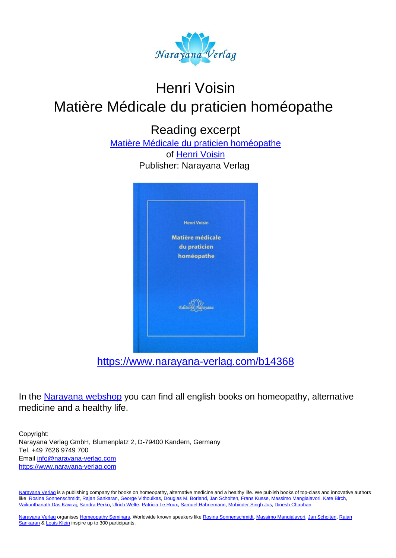

# Henri Voisin Matière Médicale du praticien homéopathe

Reading excerpt

[Matière Médicale du praticien homéopathe](https://www.narayana-verlag.com/Matiere-Medicale-du-praticien-homeopathe-Henri-Voisin/b14368/partner/leseprobe) of [Henri Voisin](https://www.narayana-verlag.com/Henri-Voisin/a1158/partner/leseprobe) Publisher: Narayana Verlag



In the [Narayana webshop](https://www.narayana-verlag.com/partner/leseprobe) you can find all english books on homeopathy, alternative medicine and a healthy life.

Copyright: Narayana Verlag GmbH, Blumenplatz 2, D-79400 Kandern, Germany Tel. +49 7626 9749 700 Email [info@narayana-verlag.com](mailto:info@narayana-verlag.com) [https://www.narayana-verlag.com](https://www.narayana-verlag.com/partner/leseprobe)

[Narayana Verlag](https://www.narayana-verlag.com/partner/leseprobe) is a publishing company for books on homeopathy, alternative medicine and a healthy life. We publish books of top-class and innovative authors like [Rosina Sonnenschmidt,](https://www.narayana-verlag.com/Rosina-Sonnenschmidt/a835/partner/leseprobe) [Rajan Sankaran](https://www.narayana-verlag.com/Rajan-Sankaran/a747/partner/leseprobe), [George Vithoulkas,](https://www.narayana-verlag.com/George-Vithoulkas/a917/partner/leseprobe) [Douglas M. Borland](https://www.narayana-verlag.com/Douglas-M-Borland/a86/partner/leseprobe), [Jan Scholten](https://www.narayana-verlag.com/Jan-Scholten/a777/partner/leseprobe), [Frans Kusse](https://www.narayana-verlag.com/Frans-Kusse/a1305/partner/leseprobe), [Massimo Mangialavori](https://www.narayana-verlag.com/Massimo-Mangialavori/a538/partner/leseprobe), [Kate Birch](https://www.narayana-verlag.com/Kate-Birch/a1439/partner/leseprobe), [Vaikunthanath Das Kaviraj,](https://www.narayana-verlag.com/Vaikunthanath-Das-Kaviraj/a1476/partner/leseprobe) [Sandra Perko,](https://www.narayana-verlag.com/Sandra-Perko/a642/partner/leseprobe) [Ulrich Welte](https://www.narayana-verlag.com/Ulrich-Welte/a935/partner/leseprobe), [Patricia Le Roux,](https://www.narayana-verlag.com/Patricia-Le-Roux/a1230/partner/leseprobe) [Samuel Hahnemann,](https://www.narayana-verlag.com/Samuel-Hahnemann/a329/partner/leseprobe) [Mohinder Singh Jus](https://www.narayana-verlag.com/Mohinder-Singh-Jus/a417/partner/leseprobe), [Dinesh Chauhan](https://www.narayana-verlag.com/Dinesh-Chauhan/a123/partner/leseprobe).

[Narayana Verlag](https://www.narayana-verlag.com/partner/leseprobe) organises [Homeopathy Seminars](https://www.narayana-verlag.com/Seminare/c162/partner/leseprobe). Worldwide known speakers like [Rosina Sonnenschmidt,](https://www.narayana-verlag.com/Rosina-Sonnenschmidt/a835/partner/leseprobe) [Massimo Mangialavori,](https://www.narayana-verlag.com/Massimo-Mangialavori/a538/partner/leseprobe) [Jan Scholten,](https://www.narayana-verlag.com/Jan-Scholten/a777/partner/leseprobe) [Rajan](https://www.narayana-verlag.com/Rajan-Sankaran/a747/partner/leseprobe) [Sankaran](https://www.narayana-verlag.com/Rajan-Sankaran/a747/partner/leseprobe) & [Louis Klein](https://www.narayana-verlag.com/Louis-Klein/a450/partner/leseprobe) inspire up to 300 participants.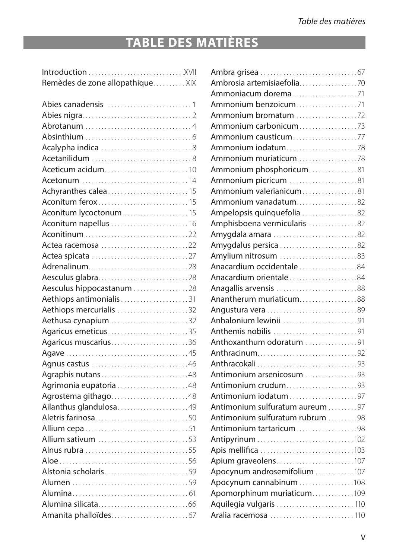# **TABLE DES MATIÈRES**

| Remèdes de zone allopathique XIX |
|----------------------------------|
|                                  |
|                                  |
|                                  |
|                                  |
|                                  |
|                                  |
|                                  |
| Aceticum acidum10                |
|                                  |
|                                  |
|                                  |
| Aconitum lycoctonum  15          |
| Aconitum napellus  16            |
|                                  |
| Actea racemosa 22                |
|                                  |
| Adrenalinum28                    |
| Aesculus glabra28                |
| Aesculus hippocastanum 28        |
| Aethiops antimonialis31          |
| Aethiops mercurialis 32          |
| Aethusa cynapium 32              |
| Agaricus emeticus35              |
| Agaricus muscarius36             |
|                                  |
|                                  |
| Agraphis nutans48                |
| Agrimonia eupatoria 48           |
| Agrostema githago48              |
| Ailanthus glandulosa49           |
| Aletris farinosa50               |
|                                  |
| Allium sativum 53                |
| Alnus rubra 55                   |
|                                  |
| Alstonia scholaris59             |
|                                  |
|                                  |
|                                  |
|                                  |

| Ammoniacum dorema71             |  |
|---------------------------------|--|
| Ammonium benzoicum71            |  |
| Ammonium bromatum 72            |  |
|                                 |  |
| Ammonium causticum77            |  |
|                                 |  |
| Ammonium muriaticum 78          |  |
| Ammonium phosphoricum81         |  |
| Ammonium picricum 81            |  |
| Ammonium valerianicum81         |  |
| Ammonium vanadatum82            |  |
| Ampelopsis quinquefolia 82      |  |
| Amphisboena vermicularis 82     |  |
| Amygdala amara 82               |  |
| Amygdalus persica 82            |  |
| Amylium nitrosum 83             |  |
| Anacardium occidentale84        |  |
| Anacardium orientale84          |  |
| Anagallis arvensis 88           |  |
| Anantherum muriaticum88         |  |
| Angustura vera 89               |  |
| Anhalonium lewinii91            |  |
| Anthemis nobilis 91             |  |
| Anthoxanthum odoratum 91        |  |
|                                 |  |
|                                 |  |
| Antimonium arsenicosum 93       |  |
| Antimonium crudum93             |  |
| Antimonium iodatum97            |  |
| Antimonium sulfuratum aureum 97 |  |
| Antimonium sulfuratum rubrum 98 |  |
| Antimonium tartaricum98         |  |
|                                 |  |
| Apis mellifica 103              |  |
| Apium graveolens107             |  |
| Apocynum androsemifolium 107    |  |
| Apocynum cannabinum 108         |  |
| Apomorphinum muriaticum109      |  |
| Aquilegia vulgaris  110         |  |
| Aralia racemosa 110             |  |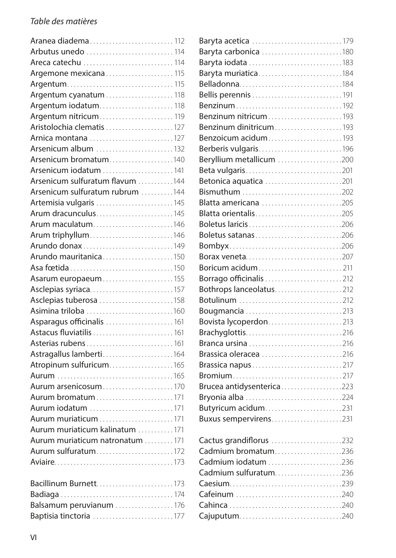| Aranea diadema 112               |  |
|----------------------------------|--|
| Arbutus unedo  114               |  |
| Areca catechu 114                |  |
| Argemone mexicana 115            |  |
|                                  |  |
| Argentum cyanatum 118            |  |
| Argentum iodatum 118             |  |
| Argentum nitricum 119            |  |
| Aristolochia clematis 127        |  |
| Arnica montana 127               |  |
| Arsenicum album 132              |  |
| Arsenicum bromatum140            |  |
| Arsenicum iodatum  141           |  |
| Arsenicum sulfuratum flavum 144  |  |
| Arsenicum sulfuratum rubrum 144  |  |
| Artemisia vulgaris 145           |  |
| Arum dracunculus145              |  |
| Arum maculatum146                |  |
| Arum triphyllum146               |  |
| Arundo donax 149                 |  |
| Arundo mauritanica150            |  |
|                                  |  |
| Asarum europaeum155              |  |
| Asclepias syriaca157             |  |
| Asclepias tuberosa 158           |  |
| Asimina triloba 160              |  |
| Asparagus officinalis  161       |  |
| Astacus fluviatilis  161         |  |
| Asterias rubens 161              |  |
| Astragallus lamberti164          |  |
| Atropinum sulfuricum165          |  |
|                                  |  |
| Aurum arsenicosum170             |  |
| Aurum bromatum171                |  |
| Aurum iodatum 171                |  |
|                                  |  |
| Aurum muriaticum kalinatum 171   |  |
| Aurum muriaticum natronatum  171 |  |
| Aurum sulfuratum172              |  |
|                                  |  |
|                                  |  |
| Bacillinum Burnett173            |  |

| Balsamum peruvianum 176 |  |
|-------------------------|--|
| Baptisia tinctoria 177  |  |

| Baryta acetica 179        |  |
|---------------------------|--|
| Baryta carbonica 180      |  |
|                           |  |
| Baryta muriatica184       |  |
|                           |  |
|                           |  |
| Benzinum192               |  |
| Benzinum nitricum193      |  |
| Benzinum dinitricum193    |  |
| Benzoicum acidum193       |  |
| Berberis vulgaris196      |  |
| Beryllium metallicum 200  |  |
| Beta vulgaris201          |  |
| Betonica aquatica 201     |  |
| Bismuthum 202             |  |
| Blatta americana 205      |  |
| Blatta orientalis205      |  |
| Boletus laricis206        |  |
| Boletus satanas206        |  |
|                           |  |
| Borax veneta207           |  |
| Boricum acidum211         |  |
| Borrago officinalis 212   |  |
| Bothrops lanceolatus212   |  |
|                           |  |
| Bougmancia 213            |  |
| Bovista lycoperdon213     |  |
| Brachyglottis216          |  |
|                           |  |
| Brassica oleracea 216     |  |
| Brassica napus217         |  |
|                           |  |
| Brucea antidysenterica223 |  |
| Bryonia alba 224          |  |
| Butyricum acidum231       |  |
| Buxus sempervirens231     |  |
|                           |  |
| Cactus grandiflorus 232   |  |
| Cadmium bromatum236       |  |
| Cadmium iodatum 236       |  |
| Cadmium sulfuratum236     |  |
|                           |  |
| Cafeinum 240              |  |
|                           |  |
| Cajuputum240              |  |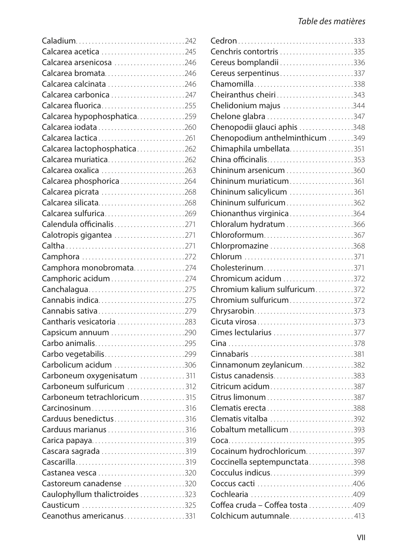| Calcarea acetica 245           |  |
|--------------------------------|--|
| Calcarea arsenicosa 246        |  |
| Calcarea bromata246            |  |
| Calcarea calcinata 246         |  |
| Calcarea carbonica 247         |  |
| Calcarea fluorica255           |  |
| Calcarea hypophosphatica259    |  |
| Calcarea iodata260             |  |
| Calcarea lactica261            |  |
| Calcarea lactophosphatica262   |  |
| Calcarea muriatica262          |  |
| Calcarea oxalica 263           |  |
| Calcarea phosphorica 264       |  |
| Calcarea picrata 268           |  |
| Calcarea silicata268           |  |
| Calcarea sulfurica269          |  |
| Calendula officinalis271       |  |
| Calotropis gigantea 271        |  |
|                                |  |
| Camphora 272                   |  |
| Camphora monobromata274        |  |
| Camphoric acidum274            |  |
| Canchalagua275                 |  |
| Cannabis indica275             |  |
| Cannabis sativa279             |  |
| Cantharis vesicatoria 283      |  |
| Capsicum annuum 290            |  |
| Carbo animalis295              |  |
| Carbo vegetabilis299           |  |
| Carbolicum acidum 306          |  |
| Carboneum oxygenisatum 311     |  |
| Carboneum sulfuricum 312       |  |
| Carboneum tetrachloricum315    |  |
| Carcinosinum316                |  |
| Carduus benedictus316          |  |
| Carduus marianus 316           |  |
| Carica papaya319               |  |
| Cascara sagrada 319            |  |
|                                |  |
| Castanea vesca 320             |  |
| Castoreum canadense 320        |  |
| Caulophyllum thalictroides 323 |  |
| Causticum 325                  |  |
| Ceanothus americanus331        |  |

| Cenchris contortris 335         |  |
|---------------------------------|--|
| Cereus bomplandii336            |  |
| Cereus serpentinus337           |  |
| Chamomilla338                   |  |
| Cheiranthus cheiri343           |  |
| Chelidonium majus 344           |  |
| Chelone glabra 347              |  |
| Chenopodii glauci aphis 348     |  |
| Chenopodium anthelminthicum 349 |  |
| Chimaphila umbellata351         |  |
| China officinalis353            |  |
| Chininum arsenicum 360          |  |
| Chininum muriaticum361          |  |
| Chininum salicylicum 361        |  |
| Chininum sulfuricum362          |  |
| Chionanthus virginica364        |  |
| Chloralum hydratum 366          |  |
| Chloroformum367                 |  |
| Chlorpromazine 368              |  |
|                                 |  |
| Cholesterinum371                |  |
| Chromicum acidum 372            |  |
| Chromium kalium sulfuricum372   |  |
| Chromium sulfuricum372          |  |
| Chrysarobin373                  |  |
| Cicuta virosa373                |  |
| Cimes lectularius 377           |  |
|                                 |  |
| Cinnabaris 381                  |  |
| Cinnamonum zeylanicum382        |  |
| Cistus canadensis383            |  |
| Citricum acidum387              |  |
|                                 |  |
| Clematis erecta388              |  |
| Clematis vitalba 392            |  |
| Cobaltum metallicum393          |  |
|                                 |  |
| Cocainum hydrochloricum397      |  |
| Coccinella septempunctata398    |  |
| Cocculus indicus399             |  |
|                                 |  |
|                                 |  |
| Coffea cruda - Coffea tosta 409 |  |
| Colchicum autumnale413          |  |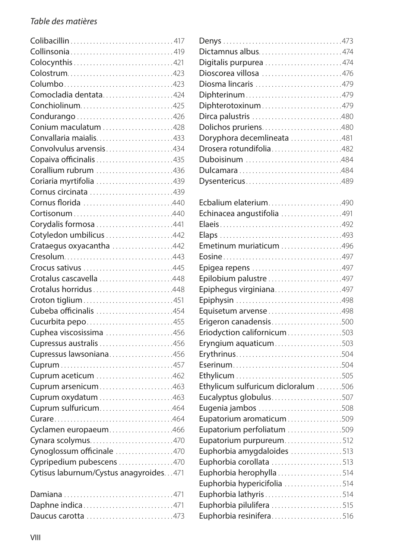| Collinsonia419                         |  |
|----------------------------------------|--|
|                                        |  |
|                                        |  |
|                                        |  |
| Comocladia dentata424                  |  |
| Conchiolinum425                        |  |
| Condurango 426                         |  |
| Conium maculatum 428                   |  |
| Convallaria maialis433                 |  |
| Convolvulus arvensis434                |  |
| Copaiva officinalis 435                |  |
| Corallium rubrum 436                   |  |
| Coriaria myrtifolia 439                |  |
| Cornus circinata 439                   |  |
| Cornus florida 440                     |  |
|                                        |  |
| Corydalis formosa 441                  |  |
| Cotyledon umbilicus 442                |  |
| Crataegus oxyacantha 442               |  |
|                                        |  |
| Crocus sativus 445                     |  |
| Crotalus cascavella 448                |  |
| Crotalus horridus448                   |  |
| Croton tiglium451                      |  |
| Cubeba officinalis 454                 |  |
| Cucurbita pepo455                      |  |
| Cuphea viscosissima 456                |  |
| Cupressus australis 456                |  |
| Cupressus lawsoniana456                |  |
|                                        |  |
| Cuprum aceticum 462                    |  |
| Cuprum arsenicum463                    |  |
| Cuprum oxydatum 463                    |  |
| Cuprum sulfuricum464                   |  |
|                                        |  |
| Cyclamen europaeum466                  |  |
| Cynara scolymus470                     |  |
| Cynoglossum officinale 470             |  |
| Cypripedium pubescens 470              |  |
| Cytisus laburnum/Cystus anagyroides471 |  |
|                                        |  |

| Daphne indica471   |  |
|--------------------|--|
| Daucus carotta 473 |  |

| Dictamnus albus474                  |  |
|-------------------------------------|--|
| Digitalis purpurea 474              |  |
| Dioscorea villosa 476               |  |
| Diosma lincaris 479                 |  |
| Diphterinum479                      |  |
| Diphterotoxinum479                  |  |
| Dirca palustris 480                 |  |
| Dolichos pruriens480                |  |
| Doryphora decemlineata 481          |  |
| Drosera rotundifolia482             |  |
| Duboisinum 484                      |  |
|                                     |  |
| Dysentericus489                     |  |
|                                     |  |
| Ecbalium elaterium490               |  |
| Echinacea angustifolia 491          |  |
|                                     |  |
|                                     |  |
| Emetinum muriaticum 496             |  |
|                                     |  |
| Epigea repens 497                   |  |
| Epilobium palustre 497              |  |
| Epiphegus virginiana497             |  |
|                                     |  |
| Equisetum arvense498                |  |
| Erigeron canadensis500              |  |
| Eriodyction californicum503         |  |
| Eryngium aquaticum503               |  |
| Erythrinus504                       |  |
|                                     |  |
|                                     |  |
| Ethylicum sulfuricum dicloralum 506 |  |
| Eucalyptus globulus507              |  |

Eugenia jambos . . . . . . . . . . . . . . . . . . . . . . . . . 508 Eupatorium aromaticum . . . . . . . . . . . . . . . . 509 Eupatorium perfoliatum . . . . . . . . . . . . . . . . 509 Eupatorium purpureum...................512 Euphorbia amygdaloides . . . . . . . . . . . . . . . 513 Euphorbia corollata . . . . . . . . . . . . . . . . . . . . . 513 Euphorbia herophylla.................... 514 Euphorbia hypericifolia . . . . . . . . . . . . . . . . . 514 Euphorbia lathyris . . . . . . . . . . . . . . . . . . . . . . . 514 Euphorbia pilulifera . . . . . . . . . . . . . . . . . . . . . 515 Euphorbia resinifera . . . . . . . . . . . . . . . . . . . . . 516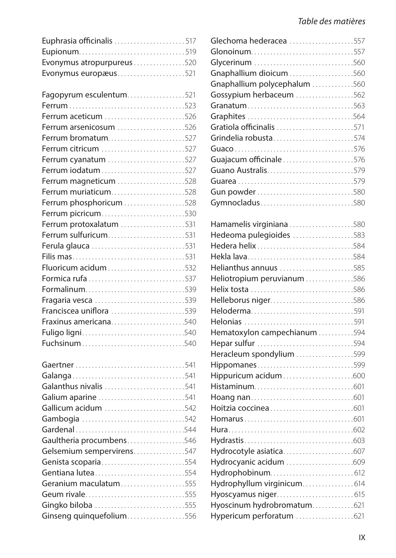| Euphrasia officinalis 517 |  |
|---------------------------|--|
|                           |  |
| Evonymus atropurpureus520 |  |
| Evonymus europæus521      |  |

| Fagopyrum esculentum521 |  |
|-------------------------|--|
|                         |  |
| Ferrum aceticum 526     |  |
| Ferrum arsenicosum 526  |  |
| Ferrum bromatum527      |  |
| Ferrum citricum 527     |  |
| Ferrum cyanatum 527     |  |
|                         |  |
| Ferrum magneticum 528   |  |
| Ferrum muriaticum528    |  |
| Ferrum phosphoricum 528 |  |
| Ferrum picricum530      |  |
| Ferrum protoxalatum 531 |  |
| Ferrum sulfuricum531    |  |
|                         |  |
|                         |  |
|                         |  |
|                         |  |
| Formalinum539           |  |
| Fragaria vesca 539      |  |
| Franciscea uniflora 539 |  |
| Fraxinus americana540   |  |
| Fuligo ligni540         |  |
| Fuchsinum540            |  |

| Galanthus nivalis 541     |
|---------------------------|
| Galium aparine 541        |
| Gallicum acidum 542       |
|                           |
| Gardenal544               |
| Gaultheria procumbens546  |
| Gelsemium sempervirens547 |
| Genista scoparia554       |
| Gentiana lutea554         |
| Geranium maculatum555     |
| Geum rivale555            |
| Gingko biloba 555         |
| Ginseng quinquefolium556  |
|                           |

| Glechoma hederacea 557       |  |
|------------------------------|--|
|                              |  |
|                              |  |
| Gnaphallium dioicum 560      |  |
| Gnaphallium polycephalum 560 |  |
| Gossypium herbaceum 562      |  |
| Granatum563                  |  |
|                              |  |
| Gratiola officinalis 571     |  |
| Grindelia robusta574         |  |
|                              |  |
| Guajacum officinale 576      |  |
| Guano Australis579           |  |
|                              |  |
|                              |  |
| Gymnocladus580               |  |
|                              |  |

| Hamamelis virginiana 580     |  |
|------------------------------|--|
| Hedeoma pulegioides 583      |  |
| Hedera helix584              |  |
|                              |  |
| Helianthus annuus 585        |  |
| Heliotropium peruvianum586   |  |
| Helix tosta 586              |  |
| Helleborus niger586          |  |
| Heloderma591                 |  |
| Helonias 591                 |  |
| Hematoxylon campechianum 594 |  |
| Hepar sulfur 594             |  |
| Heracleum spondylium 599     |  |
| Hippomanes599                |  |
|                              |  |
|                              |  |
|                              |  |
|                              |  |
|                              |  |
|                              |  |
|                              |  |
| Hydrocotyle asiatica607      |  |
| Hydrocyanic acidum 609       |  |
| Hydrophobinum 612            |  |
| Hydrophyllum virginicum 614  |  |
| Hyoscyamus niger 615         |  |
| Hyoscinum hydrobromatum621   |  |
| Hypericum perforatum 621     |  |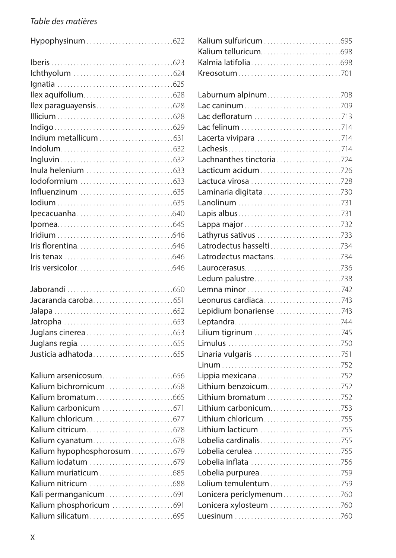Hypophysinum . . . . . . . . . . . . . . . . . . . . . . . . . . 622

| Kalium hypophosphorosum 679 |  |
|-----------------------------|--|
|                             |  |
|                             |  |
|                             |  |
| Kali permanganicum 691      |  |
| Kalium phosphoricum 691     |  |
|                             |  |

| Laburnum alpinum708      |  |
|--------------------------|--|
|                          |  |
|                          |  |
|                          |  |
|                          |  |
|                          |  |
| Lachnanthes tinctoria724 |  |
| Lacticum acidum726       |  |
|                          |  |
|                          |  |
|                          |  |
|                          |  |
| Lappa major 732          |  |
| Lathyrus sativus 733     |  |
| Latrodectus hasselti734  |  |
| Latrodectus mactans734   |  |
|                          |  |
| Ledum palustre738        |  |
| Lemna minor 742          |  |
| Leonurus cardiaca743     |  |
| Lepidium bonariense 743  |  |
|                          |  |
| Lilium tigrinum 745      |  |
|                          |  |
| Linaria vulgaris 751     |  |
|                          |  |
| Lippia mexicana752       |  |
| Lithium benzoicum752     |  |
|                          |  |
| Lithium carbonicum753    |  |
| Lithium chloricum755     |  |
| Lithium lacticum 755     |  |
| Lobelia cardinalis755    |  |
| Lobelia cerulea 755      |  |
| Lobelia inflata 756      |  |
| Lobelia purpurea 759     |  |
|                          |  |
| Lonicera periclymenum760 |  |
| Lonicera xylosteum 760   |  |
|                          |  |
|                          |  |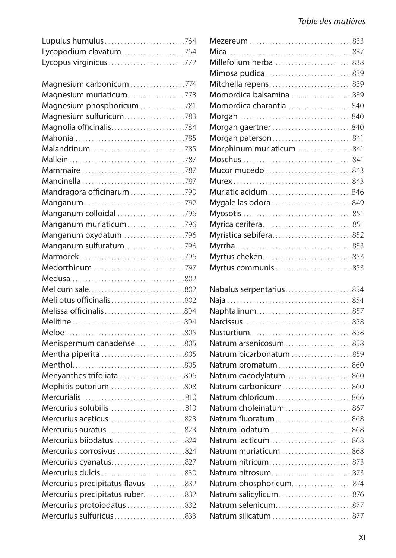| Lycopodium clavatum764            |  |
|-----------------------------------|--|
| Lycopus virginicus772             |  |
|                                   |  |
| Magnesium carbonicum 774          |  |
| Magnesium muriaticum778           |  |
| Magnesium phosphoricum781         |  |
| Magnesium sulfuricum783           |  |
| Magnolia officinalis784           |  |
| Mahonia 785                       |  |
|                                   |  |
|                                   |  |
| Mammaire 787                      |  |
|                                   |  |
| Mandragora officinarum790         |  |
| Manganum 792                      |  |
| Manganum colloidal 796            |  |
| Manganum muriaticum796            |  |
| Manganum oxydatum 796             |  |
| Manganum sulfuratum796            |  |
| Marmorek796                       |  |
| Medorrhinum797                    |  |
|                                   |  |
| Mel cum sale802                   |  |
| Melilotus officinalis802          |  |
| Melissa officinalis804            |  |
|                                   |  |
|                                   |  |
| Menispermum canadense 805         |  |
| Mentha piperita 805               |  |
|                                   |  |
| Menyanthes trifoliata 806         |  |
| Mephitis putorium 808             |  |
|                                   |  |
| Mercurius solubilis 810           |  |
| Mercurius aceticus 823            |  |
| Mercurius auratus 823             |  |
| Mercurius biiodatus 824           |  |
| Mercurius corrosivus 824          |  |
| Mercurius cyanatus827             |  |
| Mercurius dulcis 830              |  |
| Mercurius precipitatus flavus 832 |  |
| Mercurius precipitatus ruber832   |  |
| Mercurius protoiodatus 832        |  |
| Mercurius sulfuricus833           |  |

| Millefolium herba 838                       |  |
|---------------------------------------------|--|
| Mimosa pudica 839                           |  |
| Mitchella repens839                         |  |
| Momordica balsamina 839                     |  |
| Momordica charantia 840                     |  |
|                                             |  |
| Morgan gaertner840                          |  |
| Morgan paterson841                          |  |
| Morphinum muriaticum 841                    |  |
|                                             |  |
| Mucor mucedo 843                            |  |
|                                             |  |
| Muriatic acidum 846                         |  |
| Mygale lasiodora 849                        |  |
|                                             |  |
| Myrica cerifera851                          |  |
| Myristica sebifera852                       |  |
|                                             |  |
| Myrtus cheken853                            |  |
| Myrtus communis 853                         |  |
|                                             |  |
| Nabalus serpentarius854                     |  |
|                                             |  |
| Naphtalinum857                              |  |
|                                             |  |
| Nasturtium858                               |  |
| Natrum arsenicosum858                       |  |
| Natrum bicarbonatum 859                     |  |
| Natrum bromatum 860                         |  |
| Natrum cacodylatum860                       |  |
| Natrum carbonicum860                        |  |
| Natrum chloricum866                         |  |
| Natrum choleinatum867                       |  |
| Natrum fluoratum868                         |  |
| Natrum iodatum868                           |  |
| Natrum lacticum 868                         |  |
| Natrum muriaticum 868                       |  |
| Natrum nitricum873                          |  |
|                                             |  |
| Natrum phosphoricum874                      |  |
|                                             |  |
| Natrum salicylicum876                       |  |
| Natrum selenicum877<br>Natrum silicatum 877 |  |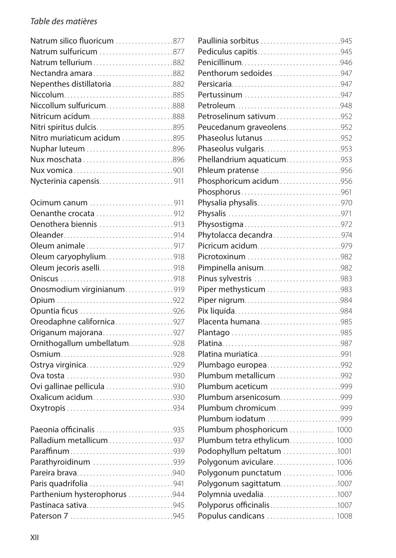| Natrum silico fluoricum 877 |
|-----------------------------|
| Natrum sulfuricum 877       |
| Natrum tellurium882         |
| Nectandra amara882          |
| Nepenthes distillatoria882  |
|                             |
| Niccollum sulfuricum888     |
| Nitricum acidum888          |
| Nitri spiritus dulcis895    |
| Nitro muriaticum acidum 895 |
|                             |
| Nux moschata 896            |
| Nux vomica901               |
| Nycterinia capensis911      |
|                             |

| Ocimum canum 911            |  |
|-----------------------------|--|
| Oenanthe crocata 912        |  |
| Oenothera biennis 913       |  |
|                             |  |
| Oleum animale 917           |  |
| Oleum caryophylium918       |  |
| Oleum jecoris aselli918     |  |
|                             |  |
| Onosmodium virginianum919   |  |
|                             |  |
| Opuntia ficus 926           |  |
| Oreodaphne californica927   |  |
| Origanum majorana927        |  |
| Ornithogallum umbellatum928 |  |
|                             |  |
| Ostrya virginica929         |  |
|                             |  |
| Ovi gallinae pellicula 930  |  |
| Oxalicum acidum930          |  |
|                             |  |
| Paeonia officinalis 935     |  |
| Palladium metallicum937     |  |
|                             |  |
| Parathyroidinum 939         |  |
| Pareira brava940            |  |

| Paris quadrifolia 941        |  |
|------------------------------|--|
| Parthenium hysterophorus 944 |  |
| Pastinaca sativa945          |  |
|                              |  |

| Paullinia sorbitus 945       |  |
|------------------------------|--|
| Pediculus capitis945         |  |
|                              |  |
| Penthorum sedoides947        |  |
|                              |  |
| Pertussinum 947              |  |
|                              |  |
| Petroselinum sativum952      |  |
| Peucedanum graveolens952     |  |
| Phaseolus lutanus 952        |  |
| Phaseolus vulgaris953        |  |
| Phellandrium aquaticum953    |  |
| Phleum pratense 956          |  |
| Phosphoricum acidum956       |  |
|                              |  |
| Physalia physalis970         |  |
|                              |  |
| Physostigma972               |  |
| Phytolacca decandra974       |  |
| Picricum acidum979           |  |
| Picrotoxinum 982             |  |
| Pimpinella anisum982         |  |
| Pinus sylvestris 983         |  |
| Piper methysticum 983        |  |
| Piper nigrum984              |  |
|                              |  |
| Placenta humana985           |  |
|                              |  |
|                              |  |
| Platina muriatica991         |  |
| Plumbago europea992          |  |
| Plumbum metallicum 992       |  |
| Plumbum aceticum 999         |  |
| Plumbum arsenicosum999       |  |
| Plumbum chromicum999         |  |
| Plumbum iodatum 999          |  |
| Plumbum phosphoricum  1000   |  |
| Plumbum tetra ethylicum 1000 |  |
| Podophyllum peltatum 1001    |  |
| Polygonum aviculare 1006     |  |
| Polygonum punctatum  1006    |  |
| Polygonum sagittatum1007     |  |
| Polymnia uvedalia1007        |  |
| Polyporus officinalis1007    |  |
| Populus candicans  1008      |  |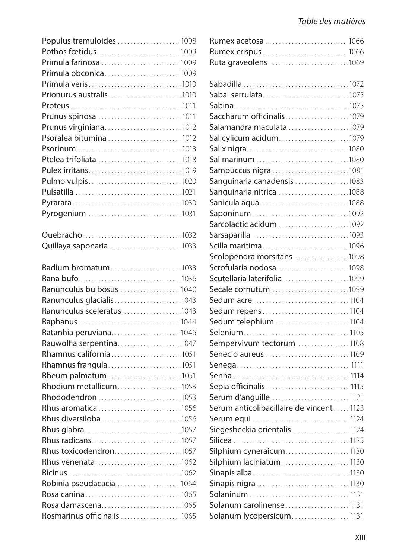| Populus tremuloides  1008                         |  |
|---------------------------------------------------|--|
|                                                   |  |
| Primula farinosa  1009                            |  |
| Primula obconica 1009                             |  |
| Primula veris1010                                 |  |
| Prionurus australis1010                           |  |
|                                                   |  |
| Prunus spinosa  1011                              |  |
| Prunus virginiana1012                             |  |
| Psoralea bitumina 1012                            |  |
|                                                   |  |
| Ptelea trifoliata 1018                            |  |
| Pulex irritans1019                                |  |
| Pulmo vulpis1020                                  |  |
|                                                   |  |
|                                                   |  |
| Pyrogenium 1031                                   |  |
| Quebracho1032                                     |  |
| Quillaya saponaria1033                            |  |
|                                                   |  |
|                                                   |  |
| Rana bufo1036                                     |  |
| Ranunculus bulbosus  1040                         |  |
| Ranunculus glacialis1043                          |  |
| Ranunculus sceleratus 1043                        |  |
| Raphanus  1044                                    |  |
| Ratanhia peruviana 1046                           |  |
|                                                   |  |
| Rauwolfia serpentina1047                          |  |
| Rhamnus california1051                            |  |
| Rhamnus frangula1051                              |  |
|                                                   |  |
| Rhodium metallicum1053                            |  |
|                                                   |  |
| Rhus aromatica1056                                |  |
| Rhus diversiloba1056                              |  |
|                                                   |  |
| Rhus radicans1057                                 |  |
| Rhus toxicodendron1057                            |  |
| Rhus venenata1062                                 |  |
|                                                   |  |
| Robinia pseudacacia  1064                         |  |
| Rosa canina1065                                   |  |
| Rosa damascena1065<br>Rosmarinus officinalis 1065 |  |

| Ruta graveolens 1069                    |  |
|-----------------------------------------|--|
|                                         |  |
|                                         |  |
| Sabal serrulata1075                     |  |
|                                         |  |
| Saccharum officinalis1079               |  |
| Salamandra maculata 1079                |  |
| Salicylicum acidum1079                  |  |
|                                         |  |
|                                         |  |
| Sambuccus nigra1081                     |  |
| Sanguinaria canadensis 1083             |  |
| Sanguinaria nitrica 1088                |  |
| Sanicula aqua1088                       |  |
| Saponinum 1092                          |  |
| Sarcolactic acidum 1092                 |  |
| Sarsaparilla 1093                       |  |
| Scilla maritima1096                     |  |
| Scolopendra morsitans 1098              |  |
| Scrofularia nodosa 1098                 |  |
| Scutellaria laterifolia1099             |  |
| Secale cornutum 1099                    |  |
| Sedum acre1104                          |  |
| Sedum repens1104                        |  |
| Sedum telephium 1104                    |  |
| Selenium1105                            |  |
| Sempervivum tectorum 1108               |  |
| Senecio aureus 1109                     |  |
|                                         |  |
|                                         |  |
| Sepia officinalis 1115                  |  |
| Serum d'anguille 1121                   |  |
| Sérum anticolibacillaire de vincent1123 |  |
| Sérum equi 1124                         |  |
| Siegesbeckia orientalis1124             |  |
|                                         |  |
| Silphium cyneraicum1130                 |  |
| Silphium laciniatum 1130                |  |
| Sinapis alba1130                        |  |
| Sinapis nigra1130                       |  |
| Solaninum 1131                          |  |
| Solanum carolinense1131                 |  |
| Solanum lycopersicum1131                |  |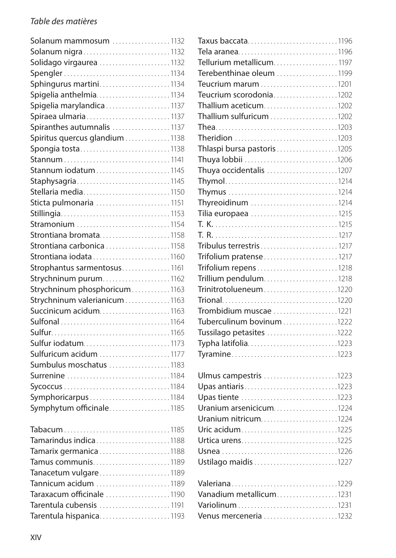| Solanum mammosum 1132         |
|-------------------------------|
| Solanum nigra1132             |
| Solidago virgaurea 1132       |
|                               |
| Sphingurus martini1134        |
| Spigelia anthelmia1134        |
| Spigelia marylandica 1137     |
| Spiraea ulmaria1137           |
| Spiranthes autumnalis 1137    |
| Spiritus quercus glandium1138 |
| Spongia tosta1138             |
|                               |
| Stannum iodatum1145           |
| Staphysagria1145              |
| Stellaria media1150           |
| Sticta pulmonaria  1151       |
|                               |
| Stramonium 1154               |
| Strontiana bromata1158        |
| Strontiana carbonica 1158     |
| Strontiana iodata1160         |
| Strophantus sarmentosus 1161  |
| Strychninum purum1162         |
| Strychninum phosphoricum1163  |
| Strychninum valerianicum1163  |
| Succinicum acidum1163         |
|                               |
|                               |
| Sulfur iodatum1173            |
| Sulfuricum acidum 1177        |
| Sumbulus moschatus 1183       |
| Surrenine 1184                |
|                               |
| Symphoricarpus1184            |
| Symphytum officinale1185      |
| Tabacum1185                   |
| Tamarindus indica1188         |
|                               |
| Tamus communis1189            |
| Tanacetum vulgare1189         |

Tannicum acidum . . . . . . . . . . . . . . . . . . . . . . 1189 Taraxacum officinale . . . . . . . . . . . . . . . . . . . 1190 Tarentula cubensis . . . . . . . . . . . . . . . . . . . . . 1191 Tarentula hispanica . . . . . . . . . . . . . . . . . . . . . 1193

| Teucrium scorodonia1202     |
|-----------------------------|
| Thallium aceticum1202       |
| Thallium sulfuricum 1202    |
|                             |
|                             |
| Thlaspi bursa pastoris 1205 |
| Thuya lobbii 1206           |
| Thuya occidentalis 1207     |
|                             |
|                             |
| Thyreoidinum 1214           |
| Tilia europaea 1215         |
|                             |
|                             |
| Tribulus terrestris 1217    |
| Trifolium pratense1217      |
|                             |
| Trillium pendulum1218       |
| Trinitrotolueneum1220       |
|                             |
| Trombidium muscae 1221      |
| Tuberculinum bovinum 1222   |
| Tussilago petasites 1222    |
| Typha latifolia1223         |
|                             |
|                             |
| Ulmus campestris 1223       |
| Upas antiaris1223           |
| Upas tiente 1223            |
| Uranium arsenicicum1224     |
| Uranium nitricum1224        |
| Uric acidum1225             |
|                             |
|                             |
| Ustilago maidis 1227        |
|                             |
|                             |
| Vanadium metallicum1231     |
|                             |
| Venus merceneria 1232       |
|                             |
|                             |
|                             |

Taxus baccata . . . . . . . . . . . . . . . . . . . . . . . . . . . 1196 Tela aranea . . . . . . . . . . . . . . . . . . . . . . . . . . . . . . 1196 Tellurium metallicum . . . . . . . . . . . . . . . . . . . 1197 Terebenthinae oleum . . . . . . . . . . . . . . . . . . 1199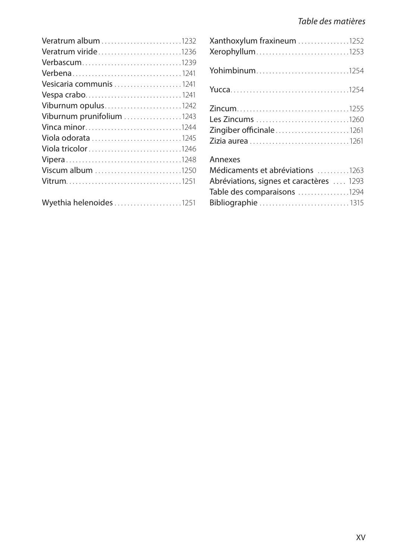| Veratrum album 1232         |  |
|-----------------------------|--|
| <b>Veratrum viride</b> 1236 |  |
| Verbascum1239               |  |
| <b>Verbena</b> 1241         |  |
| Vesicaria communis 1241     |  |
|                             |  |
| Viburnum opulus1242         |  |
| Viburnum prunifolium 1243   |  |
|                             |  |
| Viola odorata 1245          |  |
|                             |  |
|                             |  |
| Viscum album 1250           |  |
|                             |  |
|                             |  |
| Wyethia helenoides 1251     |  |

| Xanthoxylum fraxineum 1252<br>Xerophyllum1253 |
|-----------------------------------------------|
| Yohimbinum1254                                |
|                                               |
| Les Zincums 1260<br>Zingiber officinale1261   |
|                                               |
| Médicaments et abréviations 1263              |
| Abréviations, signes et caractères  1293      |
| Table des comparaisons 1294                   |
| Bibliographie 1315                            |
|                                               |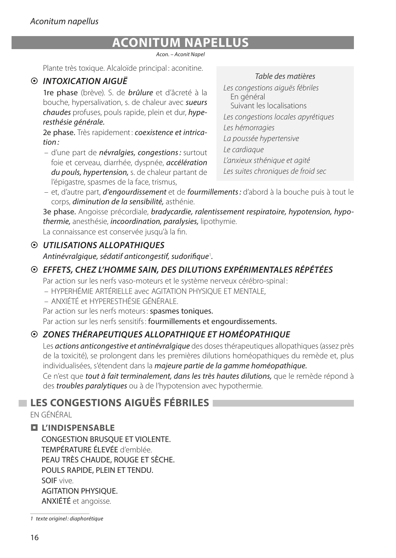# **ACONITUM NAPELLUS**

*Acon. – Aconit Napel*

Plante très toxique. Alcaloïde principal : aconitine.

## ~ *INTOXICATION AIGUË*

1re phase (brève). S. de *brûlure* et d'âcreté à la bouche, hypersalivation, s. de chaleur avec *sueurs chaudes* profuses, pouls rapide, plein et dur, *hyperesthésie générale.*

2e phase. Très rapidement: *coexistence et intrication :*

– d'une part de *névralgies, congestions:* surtout foie et cerveau, diarrhée, dyspnée, *accélération du pouls, hypertension,* s. de chaleur partant de l'épigastre, spasmes de la face, trismus,

#### *Table des matières*

*Les congestions aiguës fébriles* En général Suivant les localisations *Les congestions locales apyrétiques Les hémorragies La poussée hypertensive Le cardiaque L'anxieux sthénique et agité Les suites chroniques de froid sec*

– et, d'autre part, *d'engourdissement* et de *fourmillements:* d'abord à la bouche puis à tout le corps, *diminution de la sensibilité,* asthénie.

3e phase. Angoisse précordiale, *bradycardie, ralentissement respiratoire, hypotension, hypothermie,* anesthésie, *incoordination, paralysies,* lipothymie.

La connaissance est conservée jusqu'à la fin.

### ~ *UTILISATIONS ALLOPATHIQUES*

*Antinévralgique, sédatif anticongestif, sudorifique*<sup>1</sup> *.*

## ~ *EFFETS, CHEZ L'HOMME SAIN, DES DILUTIONS EXPÉRIMENTALES RÉPÉTÉES*

Par action sur les nerfs vaso-moteurs et le système nerveux cérébro-spinal :

– HYPERHÉMIE ARTÉRIELLE avec AGITATION PHYSIQUE ET MENTALE,

– ANXIÉTÉ et HYPERESTHÉSIE GÉNÉRALE.

Par action sur les nerfs moteurs: spasmes toniques.

Par action sur les nerfs sensitifs: fourmillements et engourdissements.

### ~ *ZONES THÉRAPEUTIQUES ALLOPATHIQUE ET HOMÉOPATHIQUE*

Les *actions anticongestive et antinévralgique* des doses thérapeutiques allopathiques (assez près de la toxicité), se prolongent dans les premières dilutions homéopathiques du remède et, plus individualisées, s'étendent dans la *majeure partie de la gamme homéopathique.*

Ce n'est que *tout à fait terminalement, dans les très hautes dilutions,* que le remède répond à des *troubles paralytiques* ou à de l'hypotension avec hypothermie.

## **LES CONGESTIONS AIGUËS FÉBRILES**

EN GÉNÉRAL

### **L'INDISPENSABLE**

CONGESTION BRUSQUE ET VIOLENTE. TEMPÉRATURE ÉLEVÉE d'emblée. PEAU TRÈS CHAUDE, ROUGE ET SÈCHE. POULS RAPIDE, PLEIN ET TENDU. SOIF vive. AGITATION PHYSIQUE. ANXIÉTÉ et angoisse.

*<sup>1</sup> texte originel : diaphorétique*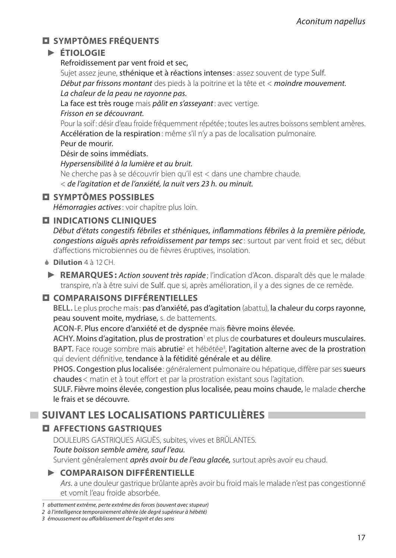## **SYMPTÔMES FRÉQUENTS**

### **► ÉTIOLOGIE**

Refroidissement par vent froid et sec,

Sujet assez jeune, **sthénique et à réactions intenses** : assez souvent de type Sulf. *Début par frissons montant* des pieds à la poitrine et la tête et < *moindre mouvement. La chaleur de la peau ne rayonne pas.*

La face est très rouge mais *pâlit en s'asseyant*: avec vertige.

#### *Frisson en se découvrant.*

Pour la soif: désir d'eau froide fréquemment répétée ; toutes les autres boissons semblent amères. Accélération de la respiration: même s'il n'y a pas de localisation pulmonaire.

#### Peur de mourir.

#### Désir de soins immédiats.

*Hypersensibilité à la lumière et au bruit.*

Ne cherche pas à se découvrir bien qu'il est < dans une chambre chaude.

< *de l'agitation et de l'anxiété, la nuit vers 23 h. ou minuit.*

### **SYMPTÔMES POSSIBLES**

*Hémorragies actives*: voir chapitre plus loin.

### $\Box$  **INDICATIONS CLINIQUES**

*Début d'états congestifs fébriles et sthéniques, inflammations fébriles à la première période, congestions aiguës après refroidissement par temps sec* : surtout par vent froid et sec, début d'affections microbiennes ou de fièvres éruptives, insolation.

#### 6 **Dilution** 4 à 12 CH.

**► REMARQUES :** *Action souvent très rapide* ; l'indication d'Acon. disparaît dès que le malade transpire, n'a à être suivi de Sulf. que si, après amélioration, il y a des signes de ce remède.

### **COMPARAISONS DIFFÉRENTIELLES**

**BELL.** Le plus proche mais: pas d'anxiété, pas d'agitation (abattu), la chaleur du corps rayonne, peau souvent moite, mydriase, s. de battements.

**ACON‑F.** Plus encore d'anxiété et de dyspnée mais fièvre moins élevée.

**ACHY.** Moins d'agitation, plus de prostration<sup>1</sup> et plus de courbatures et douleurs musculaires. BAPT. Face rouge sombre mais abrutie<sup>2</sup> et hébétée<sup>3</sup>, l'agitation alterne avec de la prostration qui devient définitive, tendance à la fétidité générale et au délire.

**PHOS.** Congestion plus localisée : généralement pulmonaire ou hépatique, diffère par ses sueurs chaudes< matin et à tout effort et par la prostration existant sous l'agitation.

**SULF.** Fièvre moins élevée, congestion plus localisée, peau moins chaude, le malade cherche le frais et se découvre.

## **SUIVANT LES LOCALISATIONS PARTICULIÈRES**

## **AFFECTIONS GASTRIQUES**

DOULEURS GASTRIQUES AIGUËS, subites, vives et BRÛLANTES.

*Toute boisson semble amère, sauf l'eau.*

Survient généralement *après avoir bu de l'eau glacée,* surtout après avoir eu chaud.

### **► COMPARAISON DIFFÉRENTIELLE**

*Ars.* a une douleur gastrique brûlante après avoir bu froid mais le malade n'est pas congestionné et vomit l'eau froide absorbée.

*<sup>1</sup> abattement extrême, perte extrême des forces (souvent avec stupeur)*

*<sup>2</sup> à l'intelligence temporairement altérée (de degré supérieur à hébété)*

*<sup>3</sup> émoussement ou affaiblissement de l'esprit et des sens*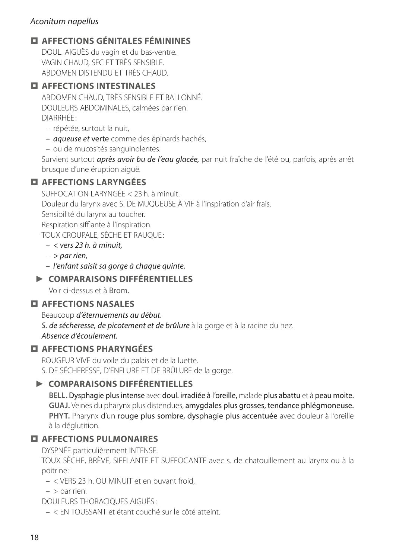#### *Aconitum napellus*

## **AFFECTIONS GÉNITALES FÉMININES**

DOUL. AIGUËS du vagin et du bas-ventre. VAGIN CHAUD, SEC ET TRÈS SENSIBLE. ABDOMEN DISTENDU ET TRÈS CHAUD.

#### $\overline{a}$  AFFECTIONS INTESTINALES

ABDOMEN CHAUD, TRÈS SENSIBLE ET BALLONNÉ. DOULEURS ABDOMINALES, calmées par rien. DIARRHÉE :

- répétée, surtout la nuit,
- *aqueuse et* verte comme des épinards hachés,

– ou de mucosités sanguinolentes.

Survient surtout *après avoir bu de l'eau glacée,* par nuit fraîche de l'été ou, parfois, après arrêt brusque d'une éruption aiguë.

## **AFFECTIONS LARYNGÉES**

SUFFOCATION LARYNGÉE < 23 h. à minuit. Douleur du larynx avec S. DE MUQUEUSE À VIF à l'inspiration d'air frais. Sensibilité du larynx au toucher. Respiration sifflante à l'inspiration. TOUX CROUPALE, SÈCHE ET RAUQUE :

– *< vers 23 h. à minuit,*

– *> par rien,*

– *l'enfant saisit sa gorge à chaque quinte.*

### **► COMPARAISONS DIFFÉRENTIELLES**

Voir ci-dessus et à Brom.

#### **AFFECTIONS NASALES**

Beaucoup *d'éternuements au début.*

*S. de sécheresse, de picotement et de brûlure* à la gorge et à la racine du nez. *Absence d'écoulement.*

### **AFFECTIONS PHARYNGÉES**

ROUGEUR VIVE du voile du palais et de la luette. S. DE SÉCHERESSE, D'ENFLURE ET DE BRÛLURE de la gorge.

### **► COMPARAISONS DIFFÉRENTIELLES**

**BELL.** Dysphagie plus intense avec doul. irradiée à l'oreille, malade plus abattu et à peau moite. **GUAJ.** Veines du pharynx plus distendues, amygdales plus grosses, tendance phlégmoneuse. PHYT. Pharynx d'un rouge plus sombre, dysphagie plus accentuée avec douleur à l'oreille à la déglutition.

## **AFFECTIONS PULMONAIRES**

DYSPNÉE particulièrement INTENSE.

TOUX SÈCHE, BRÈVE, SIFFLANTE ET SUFFOCANTE avec s. de chatouillement au larynx ou à la poitrine :

– < VERS 23 h. OU MINUIT et en buvant froid,

 $-$  > par rien.

DOULEURS THORACIQUES AIGUËS :

– < EN TOUSSANT et étant couché sur le côté atteint.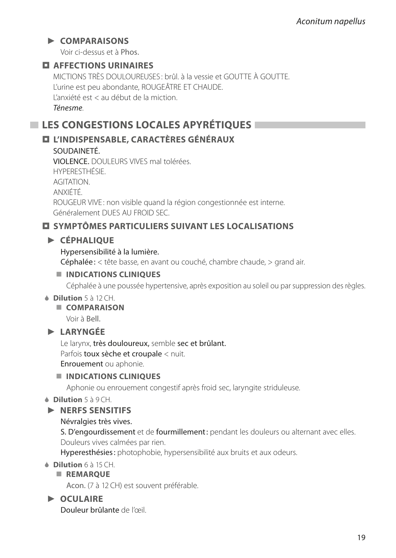### **► COMPARAISONS**

Voir ci-dessus et à Phos.

### **AFFECTIONS URINAIRES**

MICTIONS TRÈS DOULOUREUSES : brûl. à la vessie et GOUTTE À GOUTTE. L'urine est peu abondante, ROUGEÂTRE ET CHAUDE. L'anxiété est < au début de la miction. *Ténesme*.

## **LES CONGESTIONS LOCALES APYRÉTIQUES**

## **L'INDISPENSABLE, CARACTÈRES GÉNÉRAUX**

#### SOUDAINETÉ.

VIOLENCE. DOULEURS VIVES mal tolérées. HYPERESTHÉSIE. AGITATION. ANXIÉTÉ. ROUGEUR VIVE : non visible quand la région congestionnée est interne. Généralement DUES AU FROID SEC.

### **SYMPTÔMES PARTICULIERS SUIVANT LES LOCALISATIONS**

### **► CÉPHALIQUE**

#### Hypersensibilité à la lumière.

Céphalée: < tête basse, en avant ou couché, chambre chaude, > grand air.

#### **INDICATIONS CLINIQUES**

Céphalée à une poussée hypertensive, après exposition au soleil ou par suppression des règles.

#### 6 **Dilution** 5 à 12 CH.

**COMPARAISON**

Voir à Bell.

### **► LARYNGÉE**

Le larynx, très douloureux, semble sec et brûlant. Parfois toux sèche et croupale < nuit. Enrouement ou aphonie.

#### **INDICATIONS CLINIQUES**

Aphonie ou enrouement congestif après froid sec, laryngite striduleuse.

6 **Dilution** 5 à 9 CH.

#### **► NERFS SENSITIFS**

#### Névralgies très vives.

S. D'engourdissement et de fourmillement: pendant les douleurs ou alternant avec elles. Douleurs vives calmées par rien.

Hyperesthésies: photophobie, hypersensibilité aux bruits et aux odeurs.

#### 6 **Dilution** 6 à 15 CH.

#### **REMARQUE**

Acon. (7 à 12 CH) est souvent préférable.

### **► OCULAIRE**

Douleur brûlante de l'œil.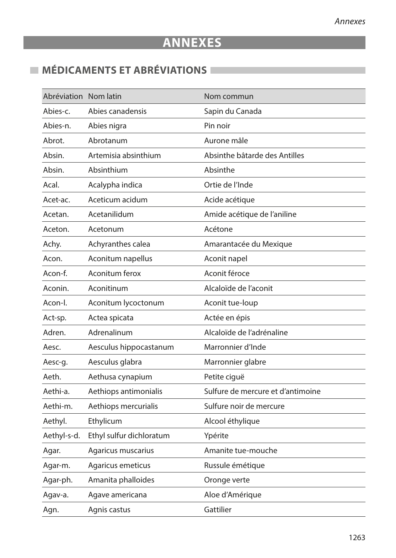# **ANNEXES**

# **MÉDICAMENTS ET ABRÉVIATIONS**

| Abréviation Nom latin |                          | Nom commun                        |
|-----------------------|--------------------------|-----------------------------------|
| Abies-c.              | Abies canadensis         | Sapin du Canada                   |
| Abies-n.              | Abies nigra              | Pin noir                          |
| Abrot.                | Abrotanum                | Aurone mâle                       |
| Absin.                | Artemisia absinthium     | Absinthe bâtarde des Antilles     |
| Absin.                | Absinthium               | Absinthe                          |
| Acal.                 | Acalypha indica          | Ortie de l'Inde                   |
| Acet-ac.              | Aceticum acidum          | Acide acétique                    |
| Acetan.               | Acetanilidum             | Amide acétique de l'aniline       |
| Aceton.               | Acetonum                 | Acétone                           |
| Achy.                 | Achyranthes calea        | Amarantacée du Mexique            |
| Acon.                 | Aconitum napellus        | Aconit napel                      |
| Acon-f.               | Aconitum ferox           | Aconit féroce                     |
| Aconin.               | Aconitinum               | Alcaloïde de l'aconit             |
| Acon-I.               | Aconitum lycoctonum      | Aconit tue-loup                   |
| Act-sp.               | Actea spicata            | Actée en épis                     |
| Adren.                | Adrenalinum              | Alcaloïde de l'adrénaline         |
| Aesc.                 | Aesculus hippocastanum   | Marronnier d'Inde                 |
| Aesc-g.               | Aesculus glabra          | Marronnier glabre                 |
| Aeth.                 | Aethusa cynapium         | Petite ciguë                      |
| Aethi-a.              | Aethiops antimonialis    | Sulfure de mercure et d'antimoine |
| Aethi-m.              | Aethiops mercurialis     | Sulfure noir de mercure           |
| Aethyl.               | Ethylicum                | Alcool éthylique                  |
| Aethyl-s-d.           | Ethyl sulfur dichloratum | Ypérite                           |
| Agar.                 | Agaricus muscarius       | Amanite tue-mouche                |
| Agar-m.               | Agaricus emeticus        | Russule émétique                  |
| Agar-ph.              | Amanita phalloides       | Oronge verte                      |
| Agav-a.               | Agave americana          | Aloe d'Amérique                   |
| Agn.                  | Agnis castus             | Gattilier                         |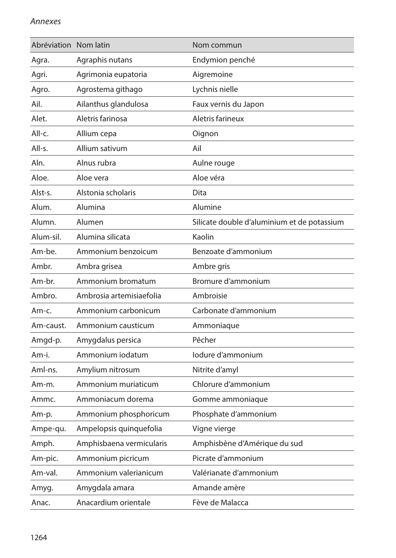#### *Annexes*

| Abréviation Nom latin |                          | Nom commun                                  |
|-----------------------|--------------------------|---------------------------------------------|
| Agra.                 | Agraphis nutans          | Endymion penché                             |
| Agri.                 | Agrimonia eupatoria      | Aigremoine                                  |
| Agro.                 | Agrostema githago        | Lychnis nielle                              |
| Ail.                  | Ailanthus glandulosa     | Faux vernis du Japon                        |
| Alet.                 | Aletris farinosa         | Aletris farineux                            |
| All-c.                | Allium cepa              | Oignon                                      |
| All-s.                | Allium sativum           | Ail                                         |
| Aln.                  | Alnus rubra              | Aulne rouge                                 |
| Aloe.                 | Aloe vera                | Aloe véra                                   |
| Alst-s.               | Alstonia scholaris       | Dita                                        |
| Alum.                 | Alumina                  | Alumine                                     |
| Alumn.                | Alumen                   | Silicate double d'aluminium et de potassium |
| Alum-sil.             | Alumina silicata         | Kaolin                                      |
| Am-be.                | Ammonium benzoicum       | Benzoate d'ammonium                         |
| Ambr.                 | Ambra grisea             | Ambre gris                                  |
| Am-br.                | Ammonium bromatum        | Bromure d'ammonium                          |
| Ambro.                | Ambrosia artemisiaefolia | Ambroisie                                   |
| Am-c.                 | Ammonium carbonicum      | Carbonate d'ammonium                        |
| Am-caust.             | Ammonium causticum       | Ammoniaque                                  |
| Amgd-p.               | Amygdalus persica        | Pêcher                                      |
| Am-i.                 | Ammonium iodatum         | Iodure d'ammonium                           |
| Aml-ns.               | Amylium nitrosum         | Nitrite d'amyl                              |
| Am-m.                 | Ammonium muriaticum      | Chlorure d'ammonium                         |
| Ammc.                 | Ammoniacum dorema        | Gomme ammoniaque                            |
| Am-p.                 | Ammonium phosphoricum    | Phosphate d'ammonium                        |
| Ampe-qu.              | Ampelopsis quinquefolia  | Vigne vierge                                |
| Amph.                 | Amphisbaena vermicularis | Amphisbène d'Amérique du sud                |
| Am-pic.               | Ammonium picricum        | Picrate d'ammonium                          |
| Am-val.               | Ammonium valerianicum    | Valérianate d'ammonium                      |
| Amyg.                 | Amygdala amara           | Amande amère                                |
| Anac.                 | Anacardium orientale     | Fève de Malacca                             |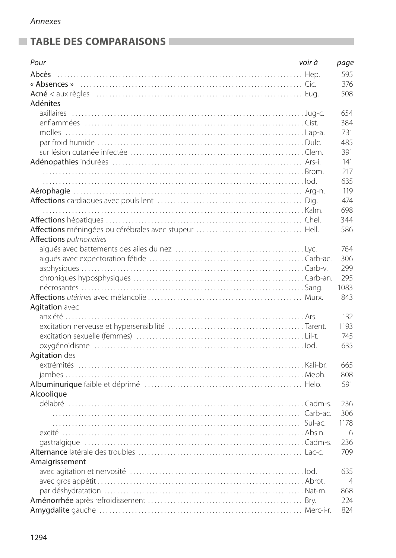## **TABLE DES COMPARAISONS**

| Pour                   | voir à | page           |
|------------------------|--------|----------------|
| Abcès                  |        | 595            |
|                        |        | 376            |
|                        |        | 508            |
| Adénites               |        |                |
| axillaires             |        | 654            |
|                        |        | 384            |
|                        |        | 731            |
|                        |        | 485            |
|                        |        | 391            |
|                        |        | 141            |
|                        |        | 217            |
|                        |        | 635            |
|                        |        | 119            |
|                        |        | 474            |
|                        |        | 698            |
|                        |        | 344            |
|                        |        | 586            |
| Affections pulmonaires |        |                |
|                        |        | 764            |
|                        |        | 306            |
|                        |        | 299            |
|                        |        | 295            |
|                        |        | 1083           |
|                        |        | 843            |
| Agitation avec         |        |                |
|                        |        | 132            |
|                        |        | 1193           |
|                        |        | 745            |
|                        |        | 635            |
| Agitation des          |        |                |
|                        |        | 665            |
|                        |        | 808            |
|                        |        | 591            |
| Alcoolique             |        |                |
|                        |        | 236            |
|                        |        | 306            |
|                        |        | 1178           |
|                        |        | 6              |
|                        |        | 236            |
|                        |        | 709            |
| Amaigrissement         |        |                |
|                        |        | 635            |
|                        |        | $\overline{4}$ |
|                        |        | 868            |
|                        |        | 224            |
|                        |        | 824            |